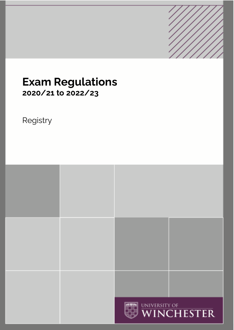

# **Exam Regulations 2020/21 to 2022/23**

# Registry

|  | WINCHESTER |
|--|------------|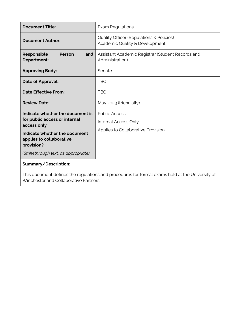| <b>Document Title:</b>                                                                                                                                                                              | <b>Exam Regulations</b>                                                                   |  |
|-----------------------------------------------------------------------------------------------------------------------------------------------------------------------------------------------------|-------------------------------------------------------------------------------------------|--|
| <b>Document Author:</b>                                                                                                                                                                             | <b>Quality Officer (Regulations &amp; Policies)</b><br>Academic Quality & Development     |  |
| Responsible<br>Person<br>and<br><b>Department:</b>                                                                                                                                                  | Assistant Academic Registrar (Student Records and<br>Administration)                      |  |
| <b>Approving Body:</b>                                                                                                                                                                              | Senate                                                                                    |  |
| Date of Approval:                                                                                                                                                                                   | TBC                                                                                       |  |
| <b>Date Effective From:</b>                                                                                                                                                                         | <b>TBC</b>                                                                                |  |
| <b>Review Date:</b>                                                                                                                                                                                 | May 2023 (triennially)                                                                    |  |
| Indicate whether the document is<br>for public access or internal<br>access only<br>Indicate whether the document<br>applies to collaborative<br>provision?<br>(Strikethrough text, as appropriate) | <b>Public Access</b><br><b>Internal Access Only</b><br>Applies to Collaborative Provision |  |
| Summary/Description:                                                                                                                                                                                |                                                                                           |  |
| This document defines the regulations and procedures for formal exams held at the University of<br>Winchester and Collaborative Partners.                                                           |                                                                                           |  |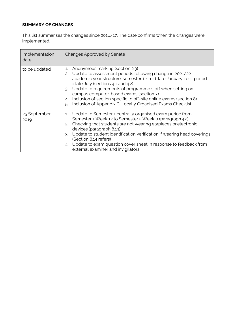# **SUMMARY OF CHANGES**

This list summarises the changes since 2016/17. The date confirms when the changes were implemented.

| Implementation<br>date | <b>Changes Approved by Senate</b>                                                                                                                                                                                                                                                                                                                                                                                                                                                              |
|------------------------|------------------------------------------------------------------------------------------------------------------------------------------------------------------------------------------------------------------------------------------------------------------------------------------------------------------------------------------------------------------------------------------------------------------------------------------------------------------------------------------------|
| to be updated          | Anonymous marking (section 2.3)<br>$\mathbf{1}$<br>Update to assessment periods following change in 2021/22<br>2.<br>academic year structure: semester 1 = mid-late January; resit period<br>= late July (sections 4.1 and 4.2)<br>Update to requirements of programme staff when setting on-<br>3.<br>campus computer-based exams (section 7)<br>Inclusion of section specific to off-site online exams (section 8)<br>4.<br>Inclusion of Appendix C: Locally Organised Exams Checklist<br>5. |
| 25 September<br>2019   | Update to Semester 1 centrally organised exam period from<br>$\mathbf{1}$<br>Semester 1 Week 12 to Semester 2 Week 0 (paragraph 4.2)<br>Checking that students are not wearing earpieces or electronic<br>2.<br>devices (paragraph 8.13)<br>Update to student identification verification if wearing head coverings<br>3.<br>(Section 8.14 refers)<br>Update to exam question cover sheet in response to feedback from<br>4.<br>external examiner and invigilators                             |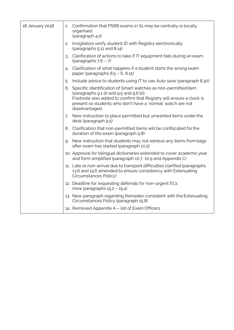| 18 January 2018 | 1. | Confirmation that PSRB exams in S1 may be centrally or locally<br>organised<br>(paragraph 4.2)                                                                                                                                                    |
|-----------------|----|---------------------------------------------------------------------------------------------------------------------------------------------------------------------------------------------------------------------------------------------------|
|                 | 2. | Invigilators verify student ID with Registry electronically<br>(paragraphs 5.11 and 8.14)                                                                                                                                                         |
|                 | 3. | Clarification of actions to take if IT equipment fails during an exam<br>(paragraphs $7.6 - 7$ )                                                                                                                                                  |
|                 | 4. | Clarification of what happens if a student starts the wrong exam<br>paper (paragraphs $8.5 - 6$ , $8.15$ )                                                                                                                                        |
|                 | 5. | Include advice to students using IT to use Auto save (paragraph 8.30)                                                                                                                                                                             |
|                 |    | 6. Specific identification of Smart watches as non-permitted item<br>(paragraphs 9.1 d) and 9.5 and 9.6 b))<br>Footnote also added to confirm that Registry will ensure a clock is<br>present so students who don't have a 'normal' watch are not |
|                 |    | disadvantaged.                                                                                                                                                                                                                                    |
|                 | 7. | New instruction to place permitted but unwanted items under the<br>desk (paragraph 9.5)                                                                                                                                                           |
|                 |    | 8. Clarification that non-permitted items will be confiscated for the<br>duration of the exam (paragraph 9.8)                                                                                                                                     |
|                 | 9. | New instruction that students may not retrieve any items from bags<br>after exam has started (paragraph 10.5)                                                                                                                                     |
|                 |    | 10. Approval for bilingual dictionaries extended to cover academic year<br>and form simplified (paragraph 10.7, 10.9 and Appendix C)                                                                                                              |
|                 |    | 11. Late or non-arrival due to transport difficulties clarified (paragraphs<br>13.6 and 15.6 amended to ensure consistency with Extenuating<br>Circumstances Policy)                                                                              |
|                 |    | 12. Deadline for requesting deferrals for non-urgent ECs<br>(new paragraphs $15.2 - 15.4$ )                                                                                                                                                       |
|                 |    | 13. New paragraph regarding Ramadan consistent with the Extenuating<br>Circumstances Policy (paragraph 15.8)                                                                                                                                      |
|                 |    | 14. Removed Appendix A – list of Exam Officers                                                                                                                                                                                                    |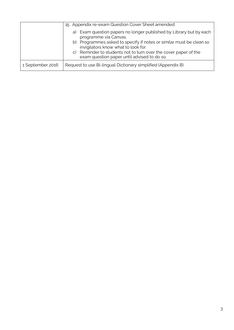|                  | 15. Appendix re-exam Question Cover Sheet amended:                                                             |  |
|------------------|----------------------------------------------------------------------------------------------------------------|--|
|                  | a) Exam question papers no longer published by Library but by each<br>programme via Canvas.                    |  |
|                  | b) Programmes asked to specify if notes or similar must be clean so<br>invigilators know what to look for.     |  |
|                  | c) Reminder to students not to turn over the cover paper of the<br>exam question paper until advised to do so. |  |
| 1 September 2016 | Request to use Bi-lingual Dictionary simplified (Appendix B)                                                   |  |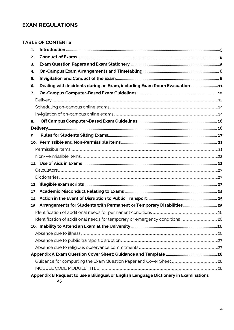# **EXAM REGULATIONS**

|    | <b>TABLE OF CONTENTS</b>                                                 |  |
|----|--------------------------------------------------------------------------|--|
| 1. |                                                                          |  |
| 2. |                                                                          |  |
| 3. |                                                                          |  |
| 4. |                                                                          |  |
| 5. |                                                                          |  |
| 6. | Dealing with Incidents during an Exam, including Exam Room Evacuation 11 |  |
| 7. |                                                                          |  |
|    |                                                                          |  |
|    |                                                                          |  |
|    |                                                                          |  |
| 8. |                                                                          |  |
|    |                                                                          |  |
| 9. |                                                                          |  |
|    |                                                                          |  |
|    |                                                                          |  |
|    |                                                                          |  |
|    |                                                                          |  |
|    |                                                                          |  |
|    |                                                                          |  |
|    |                                                                          |  |
|    |                                                                          |  |
|    |                                                                          |  |
|    |                                                                          |  |
|    |                                                                          |  |
|    |                                                                          |  |
|    |                                                                          |  |
|    |                                                                          |  |
|    |                                                                          |  |
|    |                                                                          |  |
|    |                                                                          |  |
|    |                                                                          |  |
|    |                                                                          |  |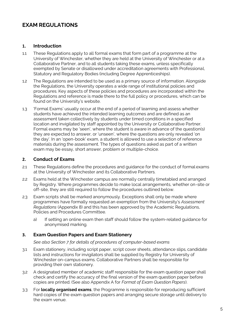# **EXAM REGULATIONS**

#### <span id="page-7-0"></span>**1. Introduction**

- 1.1 These Regulations apply to all formal exams that form part of a programme at the University of Winchester, whether they are held at the University of Winchester or at a Collaborative Partner, and to all students taking these exams, unless specifically exempted by Senate or disallowed under accreditation agreements with Professional, Statutory and Regulatory Bodies (including Degree Apprenticeships).
- 1.2 The Regulations are intended to be used as a primary source of information. Alongside the Regulations, the University operates a wide range of institutional policies and procedures. Key aspects of these policies and procedures are incorporated within the Regulations and reference is made there to the full policy or procedures, which can be found on the University's website.
- 1.3 'Formal Exams' usually occur at the end of a period of learning and assess whether students have achieved the intended learning outcomes and are defined as an assessment taken collectively by students under timed conditions in a specified location and invigilated by staff appointed by the University or Collaborative Partner. Formal exams may be 'seen', where the student is aware in advance of the question(s) they are expected to answer, or 'unseen', where the questions are only revealed 'on the day'. In an 'open-book' exam, a student is allowed to use a selection of reference materials during the assessment. The types of questions asked as part of a written exam may be essay, short answer, problem or multiple-choice.

#### <span id="page-7-1"></span>**2. Conduct of Exams**

- 2.1 These Regulations define the procedures and guidance for the conduct of formal exams at the University of Winchester and its Collaborative Partners.
- 2.2 Exams held at the Winchester campus are normally centrally timetabled and arranged by Registry. Where programmes decide to make local arrangements, whether on-site or off-site, they are still required to follow the procedures outlined below.
- 2.3 Exam scripts shall be marked anonymously. Exceptions shall only be made where programmes have formally requested an exemption from the University's *Assessment Regulations* (Appendix 8) and this has been approved by the Academic Regulations, Policies and Procedures Committee.
	- a) If setting an online exam then staff should follow the system-related guidance for anonymised marking.

## <span id="page-7-2"></span>**3. Exam Question Papers and Exam Stationery**

*See also Section 7 for details of procedures of computer-based exams*

- 3.1 Exam stationery, including script paper, script cover sheets, attendance slips, candidate lists and instructions for invigilators shall be supplied by Registry for University of Winchester on-campus exams. Collaborative Partners shall be responsible for providing their own stationery.
- 3.2 A designated member of academic staff responsible for the exam question paper shall check and certify the accuracy of the final version of the exam question paper before copies are printed. (See also Appendix A for *Format of Exam Question Papers*).
- 3.3 For **locally organised exams**, the Programme is responsible for reproducing sufficient hard copies of the exam question papers and arranging secure storage until delivery to the exam venue.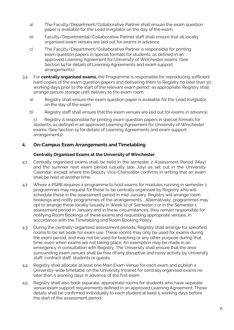- a) The Faculty/Department/Collaborative Partner shall ensure the exam question paper is available for the Lead Invigilator on the day of the exam;
- b) Faculty/Departmental/Collaborative Partner staff shall ensure that all locally organised exam venues are laid out for exams in advance.
- c) The Faculty/Department/Collaborative Partner is responsible for printing exam question papers in special formats for students, as defined in an approved Learning Agreement for University of Winchester exams. (See Section 14 for details of Learning Agreements and exam support arrangements.)
- 3.4 For **centrally organised exams,** the Programme is responsible for reproducing sufficient hard copies of the exam question papers and delivering them to Registry no later than 10 working days prior to the start of the relevant exam period as appropriate. Registry shall arrange secure storage until delivery to the exam room.
	- a) Registry shall ensure the exam question paper is available for the Lead Invigilator on the day of the exam;
	- b) Registry staff shall ensure that the exam venues are laid out for exams in advance.

c) Registry is responsible for printing exam question papers in special formats for students, as defined in an approved Learning Agreement for University of Winchester exams. (See Section 14 for details of Learning Agreements and exam support arrangements).

## <span id="page-8-0"></span>**4. On-Campus Exam Arrangements and Timetabling**

#### **Centrally Organised Exams at the University of Winchester**

- 4.1 Centrally organised exams shall be held in the semester 2 Assessment Period (May) and the summer resit exam period (usually late July) as set out in the University Calendar, except where the Deputy Vice-Chancellor confirms in writing that an exam shall be held at anothertime.
- 4.2 Where a PSRB requires a programme to hold exams for modules running in semester 1, programmes may request for these to be centrally organised by Registry who will schedule these in the assessment period in mid-January. Registry will arrange room bookings and notify programmes of the arrangements. . Alternatively, programmes may opt to arrange these locally (usually in Week 12 of Semester 1 or in the Semester 1 assessment period in January and in these circumstances, they remain responsible for notifying Room Bookings of these exams and requesting appropriate venues, in accordance with the Timetabling and Room Booking Policy.
- 4.3 During the centrally-organised assessment periods, Registry shall arrange for specified rooms to be set aside for exam use. These rooms may only be used for exams during the exam period, and may not be used for teaching or any other purpose during that time, even when exams are not taking place. An exemption may be made in an emergency in consultation with Registry. The University shall ensure that the area surrounding exam venues shall be free of any disruptive and noisy activity by University staff, contract staff, students or guests.
- 4.4 Registry shall allocate at least one Main Exam Venue for each exam and publish a University-wide timetable on the University Intranet for centrally organised exams no later than 5 working days in advance of the first exam.
- 4.5 Registry shall also book separate, appropriate rooms for students who have separate venue exam support requirements defined in an approved Learning Agreement. These details shall be confirmed individually to each student at least 5 working days before the start of the assessment period.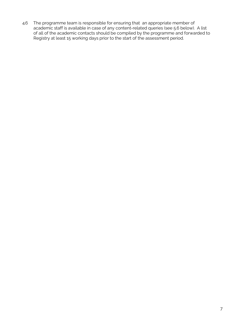4.6 The programme team is responsible for ensuring that an appropriate member of academic staff is available in case of any content-related queries (see 5.6 below). A list of all of the academic contacts should be compiled by the programme and forwarded to Registry at least 15 working days prior to the start of the assessment period.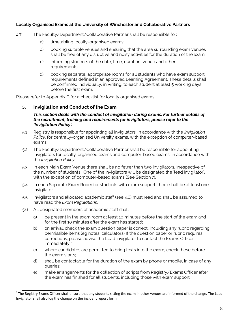#### **Locally Organised Exams at the University of Winchester and Collaborative Partners**

- 4.7 The Faculty/Department/Collaborative Partner shall be responsible for:
	- a) timetabling locally-organised exams;
	- b) booking suitable venues and ensuring that the area surrounding exam venues shall be free of any disruptive and noisy activities for the duration of the exam
	- c) informing students of the date, time, duration, venue and other requirements;
	- d) booking separate, appropriate rooms for all students who have exam support requirements defined in an approved Learning Agreement. These details shall be confirmed individually, in writing, to each student at least 5 working days before the first exam.

Please refer to Appendix C for a checklist for locally organised exams.

#### <span id="page-10-0"></span>**5. Invigilation and Conduct of the Exam**

#### *This section deals with the conduct of invigilation during exams. For further details of the recruitment, training and requirements for invigilators, please refer to the 'Invigilation Policy'.*

- 5.1 Registry is responsible for appointing all invigilators, in accordance with the *Invigilation Policy*, for centrally-organised University exams, with the exception of computer-based exams.
- 5.2 The Faculty/Department/Collaborative Partner shall be responsible for appointing invigilators for locally-organised exams and computer-based exams, in accordance with the *Invigilation Policy*.
- 5.3 In each Main Exam Venue there shall be no fewer than two invigilators, irrespective of the number of students. One of the invigilators will be designated the 'lead invigilator', with the exception of computer-based exams (See Section 7).
- 5.4 In each Separate Exam Room for students with exam support, there shall be at least one invigilator.
- 5.5 Invigilators and allocated academic staff (see 4.6) must read and shall be assumed to have read the *Exam Regulations*.
- 5.6 All designated members of academic staff shall:
	- a) be present in the exam room at least 10 minutes before the start of the exam and for the first 10 minutes after the exam has started;
	- b) on arrival, check the exam question paper is correct, including any rubric regarding permissible items (eg notes, calculators) If the question paper or rubric requires corrections, please advise the Lead Invigilator to contact the Exams Officer immediately<sup>1</sup>;
	- c) where candidates are permitted to bring texts into the exam, check these before the exam starts;
	- d) shall be contactable for the duration of the exam by phone or mobile, in case of any queries;
	- e) make arrangements for the collection of scripts from Registry/Exams Officer after the exam has finished for all students, including those with exam support.

 $1$ The Registry Exams Officer shall ensure that any students sitting the exam in other venues are informed of the change. The Lead Invigilator shall also log the change on the incident report form.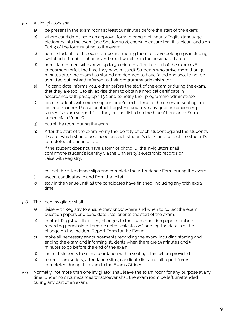- 5.7 All invigilators shall:
	- a) be present in the exam room at least 15 minutes before the start of the exam;
	- b) where candidates have an approval form to bring a bilingual/English language dictionary into the exam (see Section 10.7), check to ensure that it is 'clean' andsign Part 3 of the form relating to the exam.
	- c) admit students to the exam venue, instructing them to leave belongings including switched off mobile phones and smart watches in the designated area
	- d) admit latecomers who arrive up to 30 minutes after the start of the exam (NB latecomers forfeit the time they have missed). Students who arrive more than 30 minutes after the exam has started are deemed to have failed and should not be admitted but instead referred to their programme administrator
	- e) if a candidate informs you, either before the start of the exam or during theexam, that they are too ill to sit, advise them to obtain a medical certificate in accordance with paragraph 15.2 and to notify their programme administrator
	- f) direct students with exam support and/or extra time to the reserved seating in a discreet manner. Please contact Registry if you have any queries concerning a student's exam support (ie if they are not listed on the blue Attendance Form under 'Main Venue').
	- g) patrol the room during the exam;
	- h) After the start of the exam, verify the identity of each student againstthe student's ID card, which should be placed on each student's desk, and collect the student's completed attendance slip.

If the student does not have a form of photo ID, the invigilators shall confirmthe student's identity via the University's electronic records or liaise with Registry.

- i) collect the attendance slips and complete the Attendance Form during the exam
- j) escort candidates to and from the toilet;
- k) stay in the venue until all the candidates have finished, including any with extra time;
- 5.8 The Lead Invigilator shall:

.

- a) liaise with Registry to ensure they know where and when to collect the exam question papers and candidate lists, prior to the start of the exam;
- b) contact Registry if there any changes to the exam question paper or rubric regarding permissible items (ie notes, calculators) and log the details ofthe change on the Incident Report Form for the Exam;
- c) make all necessary announcements regarding the exam, including starting and ending the exam and informing students when there are 15 minutes and 5 minutes to go before the end of the exam;
- d) instruct students to sit in accordance with a seating plan, where provided.
- e) return exam scripts, attendance slips, candidate lists and all report forms completed during the exam to the Exams Officer.
- 5.9 Normally, not more than one invigilator shall leave the exam room for any purpose at any time. Under no circumstances whatsoever shall the exam room be left unattended during any part of an exam.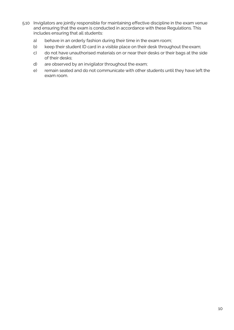- 5.10 Invigilators are jointly responsible for maintaining effective discipline in the exam venue and ensuring that the exam is conducted in accordance with these Regulations. This includes ensuring that all students:
	- a) behave in an orderly fashion during their time in the exam room;
	- b) keep their student ID card in a visible place on their desk throughout the exam;
	- c) do not have unauthorised materials on or near their desks or their bags at the side of their desks;
	- d) are observed by an invigilator throughout the exam;
	- e) remain seated and do not communicate with other students until they have left the exam room.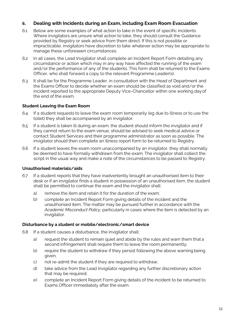## <span id="page-13-0"></span>**6. Dealing with Incidents during an Exam, including Exam Room Evacuation**

- 6.1 Below are some examples of what action to take in the event of specific incidents. Where invigilators are unsure what action to take, they should consult the Guidance provided by Registry or seek advice from them direct. If this is not possible or impracticable, invigilators have discretion to take whatever action may be appropriate to manage these unforeseen circumstances.
- 6.2 In all cases, the Lead Invigilator shall complete an Incident Report Form detailing any circumstance or action which may in any way have affected the running of the exam and/or the performance of any of the students. This form shall be returned to the Exams Officer, who shall forward a copy to the relevant Programme Leader(s).
- 6.3 It shall be for the Programme Leader, in consultation with the Head of Department and the Exams Officer to decide whether an exam should be classified as void and/or the incident reported to the appropriate Deputy Vice-Chancellor within one working dayof the end of the exam.

## **Student Leaving the Exam Room**

- 6.4 If a student requests to leave the exam room temporarily (eg due to illness or to use the toilet) they shall be accompanied by an invigilator.
- 6.5 If a student is taken ill during an exam, the student should inform the invigilator and if they cannot return to the exam venue, should be advised to seek medical advice or contact Student Services and their programme administrator as soon as possible. The invigilator should then complete an illness report form to be returned to Registry.
- 6.6 If a student leaves the exam room unaccompanied by an invigilator, they shall normally be deemed to have formally withdrawn from the exam. The invigilator shall collect the script in the usual way and make a note of the circumstances to be passed to Registry.

#### **Unauthorised materials/aids**

- 6.7 If a student reports that they have inadvertently brought an unauthorised item to their desk or if an invigilator finds a student in possession of an unauthorised item, the student shall be permitted to continue the exam and the invigilator shall:
	- a) remove the item and retain it for the duration of the exam;
	- b) complete an Incident Report Form giving details of the incident and the unauthorised item. The matter may be pursued further in accordance with the *Academic Misconduct Policy*, particularly in cases where the item is detected by an invigilator.

#### **Disturbance by a student or mobile/electronic/smart device**

- 6.8 If a student causes a disturbance, the invigilator shall:
	- a) request the student to remain quiet and abide by the rules and warn them that a second infringement shall require them to leave the room permanently;
	- b) require the student to withdraw if they persist following the above warning being given;
	- c) not re-admit the student if they are required to withdraw;
	- d) take advice from the Lead Invigilator regarding any further discretionary action that may be required;
	- e) complete an Incident Report Form giving details of the incident to be returned to Exams Officer immediately after the exam.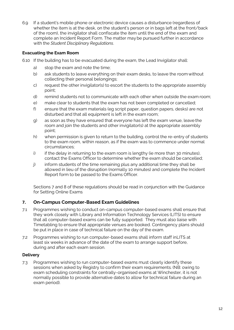6.9 If a student's mobile phone or electronic device causes a disturbance (regardless of whether the item is at the desk, on the student's person or in bags left at the front/back of the room), the invigilator shall confiscate the item until the end of the exam and complete an Incident Report Form. The matter maybe pursued further in accordance with the *Student Disciplinary Regulations*.

# **Evacuating the Exam Room**

- 6.10 If the building has to be evacuated during the exam, the Lead Invigilator shall:
	- a) stop the exam and note the time;
	- b) ask students to leave everything on their exam desks, to leave the roomwithout collecting their personal belongings;
	- c) request the other invigilator(s) to escort the students to the appropriate assembly point;
	- d) remind students not to communicate with each other when outside the exam room;
	- e) make clear to students that the exam has not been completed or cancelled;
	- f) ensure that the exam materials (eg script paper, question papers, desks) are not disturbed and that all equipment is left in the exam room;
	- g) as soon as they have ensured that everyone has left the exam venue, leave the room and join the students and other invigilator(s) at the appropriate assembly point;
	- h) when permission is given to return to the building, control the re-entry of students to the exam room, within reason, as if the exam was to commence under normal circumstances;
	- i) if the delay in returning to the exam room is lengthy (ie more than 30 minutes), contact the Exams Officer to determine whether the exam should be cancelled;
	- j) inform students of the time remaining plus any additional time they shall be allowed in lieu of the disruption (normally 10 minutes) and complete the Incident Report form to be passed to the Exams Officer.

Sections 7 and 8 of these regulations should be read in conjunction with the Guidance for Setting Online Exams

# <span id="page-14-0"></span>**7. On-Campus Computer-Based Exam Guidelines**

- 7.1 Programmes wishing to conduct on-campus computer-based exams shall ensure that they work closely with Library and Information Technology Services (LITS) to ensure that all computer-based exams can be fully supported. They must also liaise with Timetabling to ensure that appropriate venues are booked. Contingency plans should be put in place in case of technical failure on the day of the exam.
- 7.2 Programmes wishing to run computer-based exams shall inform staff inLITS at least six weeks in advance of the date of the exam to arrange support before, during and after each exam session.

#### <span id="page-14-1"></span>**Delivery**

7.3 Programmes wishing to run computer-based exams must clearly identify these sessions when asked by Registry to confirm their exam requirements. (NB: owing to exam scheduling constraints for centrally-organised exams at Winchester, it is not normally possible to provide alternative dates to allow for technical failure during an exam period).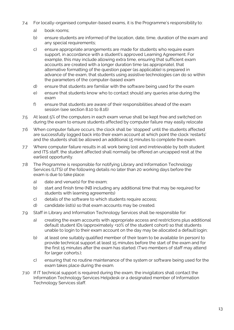- 7.4 For locally-organised computer-based exams, it is the Programme's responsibility to:
	- a) book rooms;
	- b) ensure students are informed of the location, date, time, duration of the exam and any special requirements;
	- c) ensure appropriate arrangements are made for students who require exam support, in accordance with a student's approved Learning Agreement. For example, this may include allowing extra time, ensuring that sufficient exam accounts are created with a longer duration time (as appropriate), that alternative formatting of the question paper (as applicable) is prepared in advance of the exam, that students using assistive technologies can do so within the parameters of the computer-based exam
	- d) ensure that students are familiar with the software being used for the exam
	- e) ensure that students know who to contact should any queries arise during the exam
	- f) ensure that students are aware of their responsibilities ahead of the exam session (see section 8.10 to 8.16)
- 7.5 At least 5% of the computers in each exam venue shall be kept free and switched on during the exam to ensure students affected by computer failure may easily relocate
- 7.6 When computer failure occurs, the clock shall be 'stopped' until the students affected are successfully logged back into their exam account at which point the clock 'restarts' and the students shall be allowed an additional 15 minutes to complete the exam.
- 7.7 Where computer failure results in all work being lost and irretrievable by both student and ITS staff, the student affected shall normally be offered an uncapped resit at the earliest opportunity.
- 7.8 The Programme is responsible for notifying Library and Information Technology Services (LITS) of the following details no later than 20 working days before the exam is due to take place:
	- a) date and venue(s) for the exam;
	- b) start and finish time (NB including any additional time that may be required for students with learning agreements)
	- c) details of the software to which students require access;
	- d) candidate list(s) so that exam accounts may be created.
- 7.9 Staff in Library and Information Technology Services shall be responsible for:
	- a) creating the exam accounts with appropriate access and restrictions plus additional default student IDs (approximately +10% of the student cohort) so that students unable to login to their exam account on the day may be allocated a default login;
	- b) at least one suitably qualified member of their team to be available (in person) to provide technical support at least 15 minutes before the start of the exam and for the first 15 minutes after the exam has started. (Two members of staff may attend for larger cohorts.);
	- c) ensuring that no routine maintenance of the system or software being used for the exam takes place during the exam.
- 7.10 If IT technical support is required during the exam, the invigilators shall contact the Information Technology Services Helpdesk or a designated member of Information Technology Services staff.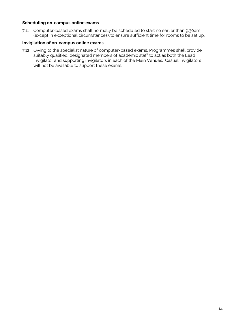#### <span id="page-16-0"></span>**Scheduling on-campus online exams**

7.11 Computer-based exams shall normally be scheduled to start no earlier than 9.30am (except in exceptional circumstances), to ensure sufficient time for rooms to be set up.

#### <span id="page-16-1"></span>**Invigilation of on-campus online exams**

7.12 Owing to the specialist nature of computer-based exams, Programmes shall provide suitably qualified, designated members of academic staff to act as both the Lead Invigilator and supporting invigilators in each of the Main Venues. Casual invigilators will not be available to support these exams.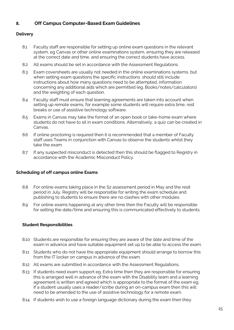# <span id="page-17-0"></span>**8. Off Campus Computer-Based Exam Guidelines**

## <span id="page-17-1"></span>**Delivery**

- 8.1 Faculty staff are responsible for setting up online exam questions in the relevant system, eg Canvas or other online examinations system, ensuring they are released at the correct date and time, and ensuring the correct students have access.
- 8.2 All exams should be set in accordance with the Assessment Regulations.
- 8.3 Exam coversheets are usually not needed in the online examinations systems, but when setting exam questions the specific instructions should still include instructions about how many questions need to be attempted, information concerning any additional aids which are permitted (eg. Books/notes/calculators) and the weighting of each question.
- 8.4 Faculty staff must ensure that learning agreements are taken into account when setting up remote exams, for example some students will require extra time, rest breaks or use of assistive technology software.
- 8.5 Exams in Canvas may take the format of an open book or take-home exam where students do not have to sit in exam conditions. Alternatively, a quiz can be created in Canvas.
- 8.6 If online proctoring is required then it is recommended that a member of Faculty staff uses Teams in conjunction with Canvas to observe the students whilst they take the exam.
- 8.7 If any suspected misconduct is detected then this should be flagged to Registry in accordance with the Academic Misconduct Policy.

## **Scheduling of off campus online Exams**

- 8.8 For online exams taking place in the S2 assessment period in May and the resit period in July, Registry will be responsible for writing the exam schedule and publishing to students to ensure there are no clashes with other modules.
- 8.9 For online exams happening at any other time then the Faculty will be responsible for setting the date/time and ensuring this is communicated effectively to students.

## **Student Responsibilities**

- 8.10 Students are responsible for ensuring they are aware of the date and time of the exam in advance and have suitable equipment set up to be able to access the exam.
- 8.11 Students who do not have the appropriate equipment should arrange to borrow this from the IT locker on campus in advance of the exam.
- 8.12 All exams are submitted in accordance with the Assessment Regulations,
- 8.13 If students need exam support eg. Extra time then they are responsible for ensuring this is arranged well in advance of the exam with the Disability team and a learning agreement is written and agreed which is appropriate to the format of the exam eg. If a student usually uses a reader/scribe during an on-campus exam then this will need to be amended to the use of assistive technology for a remote exam.
- 8.14 If students wish to use a foreign language dictionary during the exam then they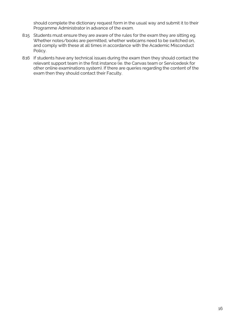should complete the dictionary request form in the usual way and submit it to their Programme Administrator in advance of the exam.

- 8.15 Students must ensure they are aware of the rules for the exam they are sitting eg. Whether notes/books are permitted, whether webcams need to be switched on, and comply with these at all times in accordance with the Academic Misconduct Policy.
- 8.16 If students have any technical issues during the exam then they should contact the relevant support team in the first instance (ie. the Canvas team or Servicedesk for other online examinations system). If there are queries regarding the content of the exam then they should contact their Faculty.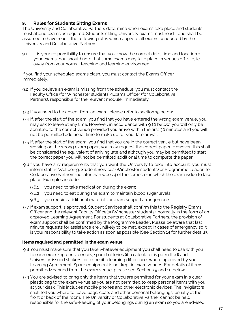## <span id="page-19-0"></span>**9. Rules for Students Sitting Exams**

The University and Collaborative Partners determine when exams take place and students must attend exams as required. Students sitting University exams must read - and shall be assumed to have read - the following rules which apply to all exams conducted by the University and Collaborative Partners.

9.1 It is your responsibility to ensure that you know the correct date, time and location of your exams. You should note that some exams may take place in venues off-site, ie away from your normal teaching and learning environment.

If you find your scheduled exams clash, you must contact the Exams Officer immediately.

- 9.2 If you believe an exam is missing from the schedule, you must contact the Faculty Office (for Winchester students)/Exams Officer (for Collaborative Partners), responsible for the relevant module, immediately.
- 9.3 If you need to be absent from an exam, please refer to section 15 below.
- 9.4 If, after the start of the exam, you find that you have entered the wrong exam venue, you may ask to leave at any time. However, in accordance with 9.10 below, you will only be admitted to the correct venue provided you arrive within the first 30 minutes and you will not be permitted additional time to make up for your late arrival.
- 9.5 If, after the start of the exam, you find that you are in the correct venue but have been working on the wrong exam paper, you may request the correct paper. However, this shall be considered the equivalent of arriving late and although you may be permittedto start the correct paper you will not be permitted additional time to complete the paper.
- 9.6 f you have any requirements that you want the University to take into account, you must inform staff in Wellbeing, Student Services (Winchester students) or Programme Leader (for Collaborative Partners) no later than week 4 of the semester in which the exam isdue to take place. Examples include:
	- 9.6.1 you need to take medication during the exam;
	- 9.6.2 you need to eat during the exam to maintain blood sugar levels;
	- 9.6.3 you require additional materials or exam support arrangements.
- 9.7 If exam support is approved, Student Services shall confirm this to the Registry Exams Officer and the relevant Faculty Office(s) (Winchester students), normally in the form of an approved Learning Agreement. For students at Collaborative Partners, the provision of exam support shall be confirmed by the Programme Leader. Please be aware that last minute requests for assistance are unlikely to be met, except in cases of emergency so it is your responsibility to take action as soon as possible (See Section 14 for further details).

#### **Items required and permitted in the exam venue**

- 9.8 You must make sure that you take whatever equipment you shall need to use with you to each exam (eg pens, pencils, spare batteries (if a calculator is permitted) and University-issued stickers for a specific learning difference, where approved by your Learning Agreement. Spare equipment is not kept in exam venues. For details of items permitted/banned from the exam venue, please see Sections 9 and 10 below.
- 9.9 You are advised to bring only the items that you are permitted for your exam in a clear plastic bag to the exam venue as you are not permitted to keep personal items with you at your desk. This includes mobile phones and other electronic devices. The invigilators shall tell you where to leave bags, coats and other personal belongings, usually at the front or back of the room. The University or Collaborative Partner cannot be held responsible for the safe-keeping of your belongings during an exam so you are advised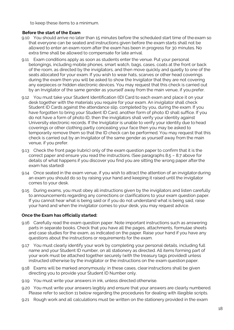to keep these items to a minimum.

#### **Before the start of the Exam**

- 9.10 You should arrive no later than 15 minutes before the scheduled start time of the exam so that everyone can be seated and instructions given before the exam starts shall not be allowed to enter an exam room after the exam has been in progress for 30 minutes. No extra time shall be allowed to compensate for late arrival.
- 9.11 Exam conditions apply as soon as students enter the venue. Put your personal belongings, including mobile phones, smart watch, bags, cases, coats at the front or back of the room, as directed by the invigilators, and then move quickly and quietly to one of the seats allocated for your exam. If you wish to wear hats, scarves or other head coverings during the exam then you will be asked to show the Invigilator that they are not covering any earpieces or hidden electronic devices. You may request that this check is carried out by an Invigilator of the same gender as yourself away from the main venue, if you prefer.
- 9.12 You must take your Student Identification (ID) Card to each exam and place it on your desk together with the materials you require for your exam. An invigilator shall check Student ID Cards against the attendance slip, completed by you, during the exam. If you have forgotten to bring your Student ID Card, another form of photo ID shall suffice. If you do not have a form of photo ID, then the invigilators shall verify your identity against University electronic records. If the Invigilator is unable to verify your identity due to head coverings or other clothing partly concealing your face then you may be asked to temporarily remove them so that the ID check can be performed. You may request that this check is carried out by an Invigilator of the same gender as yourself away from the main venue, if you prefer.
- 9.13 Check the front page (rubric) only of the exam question paper to confirm that it is the correct paper and ensure you read the instructions. (See paragraphs 8.5 – 8.7 above for details of what happens if you discover you find you are sitting the wrong paper afterthe exam has started)
- 9.14 Once seated in the exam venue, if you wish to attract the attention of an invigilatorduring an exam you should do so by raising your hand and keeping it raised until the invigilator comes to your desk.
- 9.15 During exams, you must obey all instructions given by the invigilators and listen carefully to announcements regarding any corrections or clarifications to your exam question paper. If you cannot hear what is being said or if you do not understand what is being said, raise your hand and when the invigilator comes to your desk, you may request advice.

## **Once the Exam has officially started:**

- 9.16 Carefully read the exam question paper. Note important instructions such as answering parts in separate books. Check that you have all the pages, attachments, formulae sheets and case studies for the exam, as indicated on the paper. Raise your hand if you have any questions about the instructions or requirements for the exam.
- 9.17 You must clearly identify your work by completing your personal details, including full name and your Student ID number, on all stationery as directed. All items forming part of your work must be attached together securely (with the treasury tags provided) unless instructed otherwise by the invigilator or the instructions on the exam question paper.
- 9.18 Exams will be marked anonymously: in these cases, clearinstructions shall be given directing you to provide your Student ID Number only.
- 9.19 You must write your answers in ink, unless directed otherwise.
- 9.20 You must write your answers legibly and ensure that your answers are clearly numbered. Please refer to section 11 below regarding the procedures for dealing with illegible scripts.
- 9.21 Rough work and all calculations must be written on the stationery provided in the exam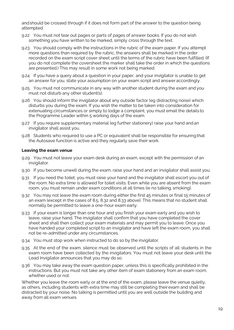andshould be crossed through if it does not form part of the answer to the question being attempted.

- 9.22 You must not tear out pages or parts of pages of answer books. If you do not wish something you have written to be marked, simply cross through the text.
- 9.23 You should comply with the instructions in the rubric of the exam paper. If you attempt more questions than required by the rubric, the answers shall be marked in the order recorded on the exam script cover sheet until the terms of the rubric have been fulfilled. (If you do not complete the coversheet the marker shall take the order in which the questions are presented.) This may result in some work not being marked.
- 9.24 If you have a query about a question in your paper, and your invigilator is unable to get an answer for you, state your assumption on your exam script and answer accordingly.
- 9.25 You must not communicate in any way with another student during the exam and you must not disturb any other student(s).
- 9.26 You should inform the invigilator about any outside factor (eg distracting noise) which disturbs you during the exam. If you wish the matter to be taken into consideration for extenuating circumstances or simply to lodge a complaint, you must email the details to the Programme Leader within 5 working days of the exam.
- 9.27 If you require supplementary material (eg further stationery) raise your hand andan invigilator shall assist you.
- 9.28 Students who required to use a PC or equivalent shall be responsible for ensuringthat the Autosave function is active and they regularly save their work.

#### **Leaving the exam venue**

- 9.29 You must not leave your exam desk during an exam, except with the permission of an invigilator.
- 9.30 If you become unwell during the exam, raise your hand and an invigilator shall assist you.
- 9.31 If you need the toilet, you must raise your hand and the invigilator shall escort you out of the room. No extra time is allowed for toilet visits. Even while you are absent from the exam room, you must remain under exam conditions at all times (ie no talking, smoking).
- 9.32 You may not leave the exam room during either the first 45 minutes or final 15 minutes of an exam (except in the cases of 8.5, 8.32 and 8.33 above). This means that no student shall normally be permitted to leave a one-hour exam early.
- 9.33 If your exam is longer than one hour and you finish your exam early and you wish to leave, raise your hand. The invigilator shall confirm that you have completed the cover sheet and shall then collect your exam materials and may permit you to leave. Once you have handed your completed script to an invigilator and have left the exam room, you shall not be re-admitted under any circumstances.
- 9.34 You must stop work when instructed to do so by the invigilator.
- 9.35 At the end of the exam, silence must be observed until the scripts of all students in the exam room have been collected by the invigilators. You must not leave your desk until the Lead Invigilator announces that you may do so.
- 9.36 You may take away the exam question paper, unless this is specifically prohibited in the instructions. But you must not take any other item of exam stationery from an exam room, whether used or not.

Whether you leave the room early or at the end of the exam, please leave the venue quietly, as others, including students with extra time may still be completing theirexam and shall be distracted by your noise. No talking is permitted until you are well outside the building and away from all exam venues.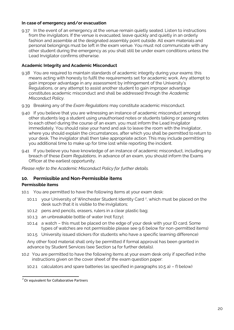#### **In case of emergency and/or evacuation**

9.37 In the event of an emergency at the venue remain quietly seated. Listen to instructions from the invigilators. If the venue is evacuated, leave quickly and quietly in an orderly fashion and assemble at the designated assembly point outside. All exam materials and personal belongings must be left in the exam venue. You must not communicate with any other student during the emergency as you shall still be under exam conditions unless the Lead Invigilator confirms otherwise.

#### **Academic Integrity and Academic Misconduct**

- 9.38 You are required to maintain standards of academic integrity during your exams: this means acting with honesty to fulfil the requirements set for academic work. Any attempt to gain improper advantage in any assessment by infringement of the University's Regulations, or any attempt to assist another student to gain improper advantage constitutes academic misconduct and shall be addressed through the *Academic Misconduct Policy*.
- 9.39 Breaking any of the *Exam Regulations* may constitute academic misconduct.
- 9.40 If you believe that you are witnessing an instance of academic misconduct amongst other students (eg a student using unauthorised notes or students talking or passing notes to each other) during the course of an exam, you must inform the Lead Invigilator immediately. You should raise your hand and ask to leave the room with the Invigilator, where you should explain the circumstances, after which you shall be permitted to return to your desk. The invigilator shall then take appropriate action. This may include permitting you additional time to make up for time lost while reporting the incident.
- 9.41 If you believe you have knowledge of an instance of academic misconduct, including any breach of these *Exam Regulations*, in advance of an exam, you should inform the Exams Officer at the earliest opportunity.

*Please refer to the Academic Misconduct Policy for further details.*

## <span id="page-22-0"></span>**10. Permissible and Non-Permissible items**

## <span id="page-22-1"></span>**Permissible items**

10.1 You are permitted to have the following items at your exam desk:

- 10.1.1 your University of Winchester Student Identity Card<sup>2</sup>, which must be placed on the desk such that it is visible to the invigilators;
- 10.1.2 pens and pencils, erasers, rulers in a clear plastic bag;
- 10.1.3 an unbreakable bottle of water (not fizzy);
- 10.1.4 a watch this must be placed on the edge of your desk with your ID card. Some types of watches are not permissible please see 9.6 below for non-permitted items)
- 10.1.5 University issued stickers (for students who have a specific learning difference)

Any other food material shall only be permitted if formal approval has been granted in advance by Student Services (see Section 14 for further details).

- 10.2 You are permitted to have the following items at your exam desk only if specified in the instructions given on the cover sheet of the exam question paper:
	- 10.2.1 calculators and spare batteries (as specified in paragraphs 10.5 a) f) below)

<sup>&</sup>lt;sup>2</sup> Or equivalent for Collaborative Partners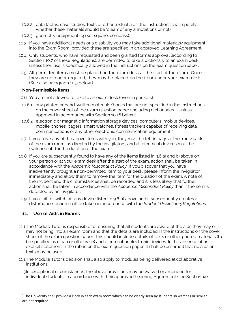- 10.2.2 data tables, case studies, texts or other textual aids (the instructions shall specify whether these materials should be 'clean' of any annotations or not);
- 10.2.3 geometry equipment (eg set square, compass).
- 10.3 If you have additional needs or a disability you may take additional materials/equipment into the Exam Room, provided these are specified in an approved Learning Agreement.
- 10.4 Only students, who have requested and been granted formal approval (according to Section 10.7 of these Regulations), are permitted to take a dictionary to an exam desk, unless their use is specifically allowed in the instructions on the exam questionpaper.
- 10.5 All permitted items must be placed on the exam desk at the start of the exam. Once they are no longer required, they may be placed on the floor under your exam desk. (See also paragraph 10.5 below.)

#### <span id="page-23-0"></span>**Non-Permissible items**

- 10.6 You are not allowed to take to an exam desk (even in pockets):
- 10.6.1 any printed or hand-written materials/books that are not specified in the Instructions on the cover sheet of the exam question paper (including dictionaries – unless approved in accordance with Section 10.16 below);
- 10.6.2 electronic or magnetic information storage devices, computers, mobile devices, mobile phones, pagers, smart watches, fitness trackers capable of receiving data communications or any other electronic communication equipment.<sup>3</sup>
- 10.7 If you have any of the above items with you, they must be left in bags at the front/back of the exam room, as directed by the invigilators, and all electrical devices must be switched off for the duration of the exam.
- 10.8 If you are subsequently found to have any of the items listed in 9.6 a) and b) above on your person or at your exam desk after the start of the exam, action shall be taken in accordance with the *Academic Misconduct Policy*. If you discover that you have inadvertently brought a non-permitted item to your desk, please inform the invigilator immediately and allow them to remove the item for the duration of the exam. A note of the incident and the circumstances shall be recorded and it is less likely that further action shall be taken in accordance with the *Academic Misconduct Policy* than if the item is detected by an invigilator.
- 10.9 If you fail to switch off any device listed in 9.6 b) above and it subsequently creates a disturbance, action shall be taken in accordance with the *Student Disciplinary Regulations*.

# <span id="page-23-1"></span>**11. Use of Aids in Exams**

- 11.1 The Module Tutor is responsible for ensuring that all students are aware of the aids they may or may not bring into an exam room and that the details are included in the instructions on the cover sheet of the exam question paper. This should include details of texts or other printed materials (to be specified as clean or otherwise) and electrical or electronic devices. In the absence of an explicit statement in the rubric on the exam question paper, it shall be assumed that no aids or texts may be used.
- 11.2The Module Tutor's decision shall also apply to modules being delivered at collaborative institutions.
- 11.3In exceptional circumstances, the above provisions may be waived or amended for individual students, in accordance with their approved Learning Agreement (see Section 14).

 $3$ The University shall provide a clock in each exam room which can be clearly seen by students so watches or similar are not required.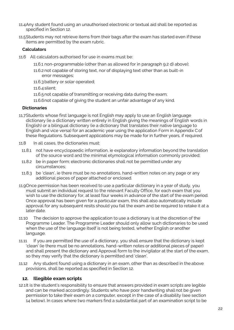- 11.4Any student found using an unauthorised electronic or textual aid shall be reported as specified in Section 12.
- 11.5Students may not retrieve items from their bags after the exam has started even ifthese items are permitted by the exam rubric.

## <span id="page-24-0"></span>**Calculators**

- 11.6 All calculators authorised for use in exams must be:
	- 11.6.1 non-programmable (other than as allowed for in paragraph 9.2 d) above);
	- 11.6.2 not capable of storing text, nor of displaying text other than as built-in error messages;
	- 11.6.3battery or solar operated;
	- 11.6.4 silent;
	- 11.6.5not capable of transmitting or receiving data during the exam;
	- 11.6.6not capable of giving the student an unfair advantage of any kind.

## <span id="page-24-1"></span>**Dictionaries**

- 11.7Students whose first language is not English may apply to use an English language dictionary (ie a dictionary written entirely in English giving the meanings of English words in English) or a bilingual dictionary (ie a dictionary that translates their native language to English and vice versa) for an academic year using the application Form in Appendix Cof these Regulations. Subsequent applications may be made for in further years, if required.
- 11.8 In all cases, the dictionaries must:
	- 11.8.1 not have encyclopaedic information, ie explanatory information beyond the translation of the source word and the minimal etymological information commonly provided;
	- 11.8.2 be in paper form; electronic dictionaries shall not be permitted under any circumstances;
	- 11.8.3 be 'clean', ie there must be no annotations, hand-written notes on any page or any additional pieces of paper attached or enclosed.
- 11.9Once permission has been received to use a particular dictionary in a year of study, you must submit an individual request to the relevant Faculty Office, for each exam that you wish to use the dictionary for, at least four weeks in advance of the start of the exam period. Once approval has been given for a particular exam, this shall also automatically include approval for any subsequent resits should you fail the exam and be required to retake it at a later date.
- 11.10 The decision to approve the application to use a dictionary is at the discretion of the Programme Leader. The Programme Leader should only allow such dictionaries to be used when the use of the language itself is not being tested, whether English or another language.
- 11.11 If you are permitted the use of a dictionary, you shall ensure that the dictionary is kept 'clean' (ie there must be no annotations, hand-written notes or additional pieces of paper) and shall present the dictionary and Approval form to the invigilator at the start of the exam, so they may verify that the dictionary is permitted and 'clean'.
- 11.12 Any student found using a dictionary in an exam, other than as described in the above provisions, shall be reported as specified in Section 12.

# <span id="page-24-2"></span>**12. Illegible exam scripts**

12.1It is the student's responsibility to ensure that answers provided in exam scripts are legible and can be marked accordingly. Students who have poor handwriting shall not be given permission to take their exam on a computer, except in the case of a disability (see section 14 below). In cases where two markers find a substantial part of an examination script to be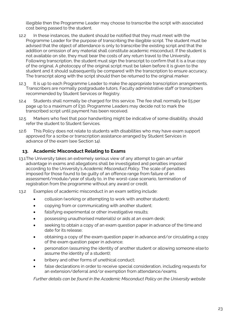illegible then the Programme Leader may choose to transcribe the script with associated cost being passed to the student.

- 12.2 In these instances, the student should be notified that they must meet with the Programme Leader for the purpose of transcribing the illegible script. The student must be advised that the object of attendance is only to transcribe the existing script and that the addition or omission of any material shall constitute academic misconduct. If the student is not available on site, they must bear the costs of any return travel to the University. Following transcription, the student must sign the transcript to confirm that it is a true copy of the original. A photocopy of the original script must be taken before it is given to the student and it should subsequently be compared with the transcription to ensure accuracy. The transcript along with the script should then be returned to the original marker.
- 12.3 It is up to each Programme Leader to make the appropriate transcription arrangements. Transcribers are normally postgraduate tutors, Faculty administrative staff ortranscribers recommended by Student Services or Registry.
- 12.4 Students shall normally be charged for this service. The fee shall normally be £5 per page up to a maximum of £30. Programme Leaders may decide not to mark the transcribed script until payment has been received.
- 12.5 Markers who feel that poor handwriting might be indicative of some disability, should refer the student to Student Services.
- 12.6 This Policy does not relate to students with disabilities who may have exam support approved for a scribe or transcription assistance arranged by Student Services in advance of the exam (see Section 14).

# <span id="page-25-0"></span>**13. Academic Misconduct Relating to Exams**

- 13.1The University takes an extremely serious view of any attempt to gain an unfair advantage in exams and allegations shall be investigated and penalties imposed according to the University's *Academic Misconduct Policy*. The scale of penalties imposed for those found to be guilty of an offence range from failure of an assessment/module/year of study to, in the worst-case scenario, termination of registration from the programme without any award or credit.
- 13.2 Examples of academic misconduct in an exam setting include:
	- collusion (working or attempting to work with another student);
	- copying from or communicating with another student;
	- falsifying experimental or other investigative results;
	- possessing unauthorised material(s) or aids at an exam desk;
	- seeking to obtain a copy of an exam question paper in advance of the time and date for its release;
	- obtaining a copy of the exam question paper in advance and/or circulating a copy of the exam question paper in advance;
	- personation (assuming the identity of another student or allowing someone elseto assume the identity of a student);
	- bribery and other forms of unethical conduct;
	- false declarations in order to receive special consideration, including requests for an extension/deferral and/or exemption from attendance/exams.

*Further details can be found in the Academic Misconduct Policy on the University website*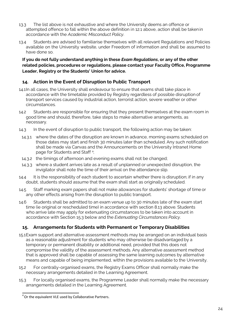- 13.3 The list above is not exhaustive and where the University deems an offence or attempted offence to fall within the above definition in 12.1 above, action shall be takenin accordance with the *Academic Misconduct Policy*.
- 13.4 Students are advised to familiarise themselves with all relevant Regulations and Policies available on the University website, under Freedom of information and shall be assumed to have done so.

## **If you do not fully understand anything in these** *Exam Regulations***, or any of the other related policies, procedures or regulations, please contact your Faculty Office, Programme Leader, Registry or the Students' Union for advice.**

# <span id="page-26-0"></span>**14. Action in the Event of Disruption to Public Transport**

- 14.1In all cases, the University shall endeavour to ensure that exams shall take place in accordance with the timetable provided by Registry regardless of possible disruption of transport services caused by industrial action, terrorist action, severe weather or other circumstances.
- 14.2 Students are responsible for ensuring that they present themselves at the exam room in good time and should, therefore, take steps to make alternative arrangements, as necessary.
- 14.3 In the event of disruption to public transport, the following action may be taken:
	- 14.3.1 where the dates of the disruption are known in advance, morning exams scheduled on those dates may start and finish 30 minutes later than scheduled. Any such notification shall be made via Canvas and the Announcements on the University Intranet Home page for Students and Staff<sup>4</sup>;
	- 14.3.2 the timings of afternoon and evening exams shall not be changed;
- 14.3.3 where a student arrives late as a result of unplanned or unexpected disruption, the invigilator shall note the time of their arrival on the attendance slip.
- 14.4 It is the responsibility of each student to ascertain whether there is disruption; if in any doubt, students should assume that the exam shall start as originally scheduled.
- 14.5 Staff marking exam papers shall not make allowances for students' shortage of time or any other effects arising from the disruption to public transport.
- 14.6 Students shall be admitted to an exam venue up to 30 minutes late of the exam start time (ie original or rescheduled time) in accordance with section 8.13 above. Students who arrive late may apply for extenuating circumstances to be taken into account in accordance with Section 15.3 below and the *Extenuating Circumstances Policy*.

# <span id="page-26-1"></span>**15. Arrangements for Students with Permanent or Temporary Disabilities**

- 15.1Exam support and alternative assessment methods may be arranged on an individual basis as a reasonable adjustment for students who may otherwise be disadvantaged by a temporary or permanent disability or additional need, provided that this does not compromise the validity of the assessment methods. Any alternative assessment method that is approved shall be capable of assessing the same learning outcomes by alternative means and capable of being implemented, within the provisions available to the University.
- 15.2 For centrally-organised exams, the Registry Exams Officer shall normally make the necessary arrangements detailed in the Learning Agreement.
- 15.3 For locally organised exams, the Programme Leader shall normally make the necessary arrangements detailed in the Learning Agreement.

<sup>&</sup>lt;sup>4</sup> Or the equivalent VLE used by Collaborative Partners.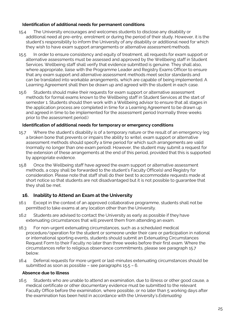## <span id="page-27-0"></span>**Identification of additional needs for permanent conditions**

- 15.4 The University encourages and welcomes students to disclose any disability or additional need at pre-entry, enrolment or during the period of their study. However, it is the student's responsibility to inform the University of any disability or additional need for which they wish to have exam support arrangements or alternative assessment methods.
- 15.5 In order to ensure consistency and equity of treatment, all requests for exam support or alternative assessments must be assessed and approved by the Wellbeing staff in Student Services. Wellbeing staff shall verify that evidence submitted is genuine. They shall also, where appropriate, liaise with the Programme Leader and Registry Exams Officer to ensure that any exam support and alternative assessment methods meet sector standards and can be translated into workable arrangements, which are capable of being implemented. A Learning Agreement shall then be drawn up and agreed with the student in each case.
- 15.6 Students should make their requests for exam support or alternative assessment methods for formal exams known to the Wellbeing staff in Student Services at the start of semester 1. Students should then work with a Wellbeing advisor to ensure that all stages in the application process are completed in time for a Learning Agreement to be drawn up and agreed in time to be implemented for the assessment period (normally three weeks prior to the assessment period.)

# <span id="page-27-1"></span>**Identification of additional needs for temporary or emergency conditions**

- 15.7 Where the student's disability is of a temporary nature or the result of an emergency (eg a broken bone that prevents or impairs the ability to write), exam support or alternative assessment methods should specify a time period for which such arrangements are valid (normally no longer than one exam period). However, the student may submit a request for the extension of these arrangements at the end of this period, provided that this is supported by appropriate evidence.
- 15.8 Once the Wellbeing staff have agreed the exam support or alternative assessment methods, a copy shall be forwarded to the student's Faculty Office(s) and Registry for consideration. Please note that staff shall do their best to accommodate requests made at short notice so that students are not disadvantaged but it is not possible to guarantee that they shall be met.

# <span id="page-27-2"></span>**16. Inability to Attend an Exam at the University**

- 16.1 Except in the context of an approved collaborative programme, students shall not be permitted to take exams at any location other than the University.
- 16.2 Students are advised to contact the University as early as possible if they have extenuating circumstances that will prevent them from attending an exam.
- 16.3 For non-urgent extenuating circumstances, such as a scheduled medical procedure/operation for the student or someone under their care or participation in national or international sporting events, students should submit an Extenuating Circumstances Request Form to their Faculty no later than three weeks before their first exam. Where the circumstances refer to religious observance commitments, please see paragraph 15.7 below.
- 16.4 Deferral requests for more urgent or last-minutes extenuating circumstances should be submitted as soon as possible – see paragraphs 15.5 – 6.

## <span id="page-27-3"></span>**Absence due to illness**

16.5 Students who are unable to attend an examination, due to illness or other good cause, a medical certificate or other documentary evidence must be submitted to the relevant Faculty Office before the examination, where possible, or no later than 5 working days after the examination has been held in accordance with the University's *Extenuating*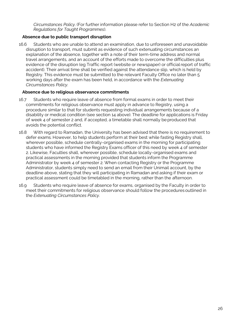*Circumstances Policy*. (For further information please refer to Section H2 of the *Academic Regulations for Taught Programmes*).

## <span id="page-28-0"></span>**Absence due to public transport disruption**

16.6 Students who are unable to attend an examination, due to unforeseen and unavoidable disruption to transport, must submit as evidence of such extenuating circumstances an explanation of the absence, together with a note of their term-time address and normal travel arrangements, and an account of the efforts made to overcome the difficulties plus evidence of the disruption (eg Traffic report (website or newspaper) or officialreport of traffic accident). Their arrival time shall be verified against the attendance slip, which is held by Registry. This evidence must be submitted to the relevant Faculty Office no later than 5 working days after the exam has been held, in accordance with the *Extenuating Circumstances Policy*.

## <span id="page-28-1"></span>**Absence due to religious observance commitments**

- 16.7 Students who require leave of absence from formal exams in order to meet their commitments for religious observance must apply in advance to Registry, using a procedure similar to that for students requesting individual arrangements because of a disability or medical condition (see section 14 above). The deadline for applications is Friday of week 4 of semester 2 and, if accepted, a timetable shall normally be produced that avoids the potential conflict.
- 16.8 With regard to Ramadan, the University has been advised that there is no requirement to defer exams. However, to help students perform at their best while fasting Registry shall, wherever possible, schedule centrally-organised exams in the morning for participating students who have informed the Registry Exams officer of this need by week 4 of semester 2. Likewise, Faculties shall, wherever possible, schedule locally-organised exams and practical assessments in the morning provided that students inform the Programme Administrator by week 4 of semester 2. When contacting Registry or the Programme Administrator, students simply need to send an email from their Unimail account, by the deadline above, stating that they will participating in Ramadan and asking if their exam or practical assessment could be timetabled in the morning, rather than the afternoon.
- 16.9 Students who require leave of absence for exams, organised by the Faculty in order to meet their commitments for religious observance should follow the procedures outlined in the *Extenuating Circumstances Policy*.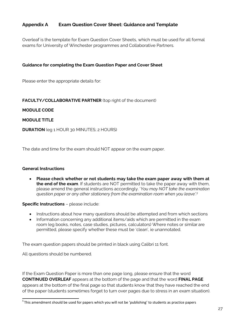# <span id="page-29-0"></span>**Appendix A Exam Question Cover Sheet: Guidance and Template**

Overleaf is the template for Exam Question Cover Sheets, which must be used for all formal exams for University of Winchester programmes and Collaborative Partners.

## <span id="page-29-1"></span>**Guidance for completing the Exam Question Paper and Cover Sheet**

Please enter the appropriate details for:

## **FACULTY/COLLABORATIVE PARTNER** (top right of the document)

#### <span id="page-29-2"></span>**MODULE CODE**

#### **MODULE TITLE**

**DURATION** (eg 1 HOUR 30 MINUTES; 2 HOURS)

The date and time for the exam should NOT appear on the exam paper.

#### **General Instructions**

• **Please check whether or not students may take the exam paper away with them at the end of the exam**. If students are NOT permitted to take the paper away with them, please amend the general instructions accordingly. '*You may NOT take the examination question paper or any other stationery from the examination room when you leave'.<sup>5</sup>*

#### **Specific Instructions - please include:**

- Instructions about how many questions should be attempted and from which sections
- Information concerning any additional items/aids which are permitted in the exam room (eg books, notes, case studies, pictures, calculators) Where notes or similar are permitted, please specify whether these must be 'clean', ie unannotated.

The exam question papers should be printed in black using Calibri 11 font.

All questions should be numbered.

If the Exam Question Paper is more than one page long, please ensure that the word **CONTINUED OVERLEAF** appears at the bottom of the page and that the word **FINAL PAGE**  appears at the bottom of the final page so that students know that they have reached the end of the paper (students sometimes forget to turn over pages due to stress in an exam situation).

 $5$ This amendment should be used for papers which you will not be 'publishing' to students as practice papers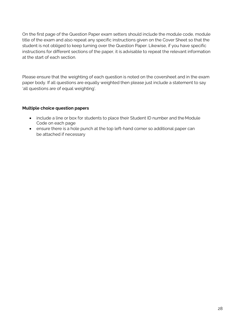On the first page of the Question Paper exam setters should include the module code, module title of the exam and also repeat any specific instructions given on the Cover Sheet so that the student is not obliged to keep turning over the Question Paper. Likewise, if you have specific instructions for different sections of the paper, it is advisable to repeat the relevant information at the start of each section.

Please ensure that the weighting of each question is noted on the coversheet and in the exam paper body. If all questions are equally weighted then please just include a statement to say 'all questions are of equal weighting'.

## **Multiple choice question papers**

- include a line or box for students to place their Student ID number and the Module Code on each page
- ensure there is a hole punch at the top left-hand corner so additional paper can be attached if necessary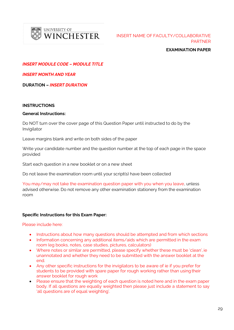

UNIVERSITY OF WINCHESTER

INSERT NAME OF FACULTY/COLLABORATIVE PARTNER

**EXAMINATION PAPER**

*INSERT MODULE CODE – MODULE TITLE*

*INSERT MONTH AND YEAR*

**DURATION –** *INSERT DURATION*

#### **INSTRUCTIONS**

#### **General Instructions:**

Do NOT turn over the cover page of this Question Paper until instructed to do by the Invigilator

Leave margins blank and write on both sides of the paper

Write your candidate number and the question number at the top of each page in the space provided

Start each question in a new booklet or on a new sheet

Do not leave the examination room until your script(s) have been collected

You may/may not take the examination question paper with you when you leave, unless advised otherwise. Do not remove any other examination stationery from the examination room

#### **Specific Instructions for this Exam Paper:**

Please include here:

- Instructions about how many questions should be attempted and from which sections
- Information concerning any additional items/aids which are permitted in the exam room (eg books, notes, case studies, pictures, calculators)
- Where notes or similar are permitted, please specify whether these must be 'clean', ie unannotated and whether they need to be submitted with the answer booklet at the end.
- Any other specific instructions for the invigilators to be aware of ie if you prefer for students to be provided with spare paper for rough working rather than using their answer booklet for rough work
- Please ensure that the weighting of each question is noted here and in the exam paper body. If all questions are equally weighted then please just include a statement to say 'all questions are of equal weighting'.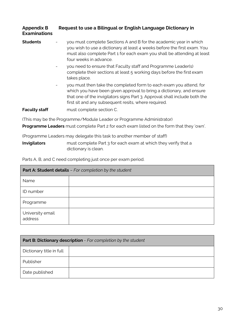<span id="page-32-0"></span>

| Appendix B          | Request to use a Bilingual or English Language Dictionary in |
|---------------------|--------------------------------------------------------------|
| <b>Examinations</b> |                                                              |

- **Students** you must complete Sections A and B for the academic year in which you wish to use a dictionary at least 4 weeks before the first exam. You must also complete Part 1 for each exam you shall be attending at least four weeks in advance.
	- you need to ensure that Faculty staff and Programme Leader(s) complete their sections at least 5 working days before the first exam takes place.
	- you must then take the completed form to each exam you attend, for which you have been given approval to bring a dictionary, and ensure that one of the invigilators signs Part 3. Approval shall include both the first sit and any subsequent resits, where required.

**Faculty staff** must complete section C.

(This may be the Programme/Module Leader or Programme Administrator)

**Programme Leaders** must complete Part 2 for each exam listed on the form that they 'own'.

(Programme Leaders may delegate this task to another member of staff)

**Invigilators** must complete Part 3 for each exam at which they verify that a dictionary is clean.

Parts A, B, and C need completing just once per exam period.

| Part A: Student details - For completion by the student |  |  |
|---------------------------------------------------------|--|--|
| Name                                                    |  |  |
| ID number                                               |  |  |
| Programme                                               |  |  |
| University email<br>address                             |  |  |

| Part B: Dictionary description - For completion by the student |  |  |
|----------------------------------------------------------------|--|--|
| Dictionary title in full                                       |  |  |
| Publisher                                                      |  |  |
| Date published                                                 |  |  |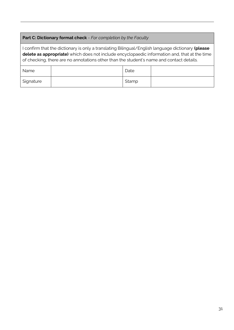# **Part C: Dictionary format check** - *For completion by the Faculty*

I confirm that the dictionary is only a translating Bilingual/English language dictionary **(please delete as appropriate)** which does not include encyclopaedic information and, that at the time of checking, there are no annotations other than the student's name and contact details.

| Name      | Date  |  |
|-----------|-------|--|
| Signature | Stamp |  |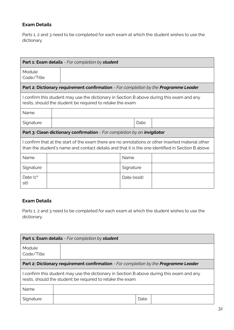# **Exam Details**

Parts 1, 2 and 3 need to be completed for each exam at which the student wishes to use the dictionary

| <b>Part 1: Exam details</b> - For completion by student                                                                                                                                               |  |                                                                                      |              |  |  |
|-------------------------------------------------------------------------------------------------------------------------------------------------------------------------------------------------------|--|--------------------------------------------------------------------------------------|--------------|--|--|
| Module<br>Code/Title                                                                                                                                                                                  |  |                                                                                      |              |  |  |
|                                                                                                                                                                                                       |  | Part 2: Dictionary requirement confirmation - For completion by the Programme Leader |              |  |  |
| I confirm this student may use the dictionary in Section B above during this exam and any<br>resits, should the student be required to retake the exam.                                               |  |                                                                                      |              |  |  |
| Name                                                                                                                                                                                                  |  |                                                                                      |              |  |  |
| Signature                                                                                                                                                                                             |  | Date                                                                                 |              |  |  |
| Part 3: Clean dictionary confirmation - For completion by an invigilator                                                                                                                              |  |                                                                                      |              |  |  |
| I confirm that at the start of the exam there are no annotations or other inserted material other<br>than the student's name and contact details and that it is the one identified in Section B above |  |                                                                                      |              |  |  |
| Name                                                                                                                                                                                                  |  |                                                                                      | Name         |  |  |
| Signature                                                                                                                                                                                             |  |                                                                                      | Signature    |  |  |
| Date $(1st$<br>sit)                                                                                                                                                                                   |  |                                                                                      | Date (resit) |  |  |

# **Exam Details**

Parts 1, 2 and 3 need to be completed for each exam at which the student wishes to use the dictionary.

|                                                                                                                                                         | Part 1: Exam details - For completion by student |  |  |
|---------------------------------------------------------------------------------------------------------------------------------------------------------|--------------------------------------------------|--|--|
| Module<br>Code/Title                                                                                                                                    |                                                  |  |  |
| <b>Part 2: Dictionary requirement confirmation</b> - For completion by the <b>Programme Leader</b>                                                      |                                                  |  |  |
| I confirm this student may use the dictionary in Section B above during this exam and any<br>resits, should the student be required to retake the exam. |                                                  |  |  |
| <b>Name</b>                                                                                                                                             |                                                  |  |  |
| Signature                                                                                                                                               | Date                                             |  |  |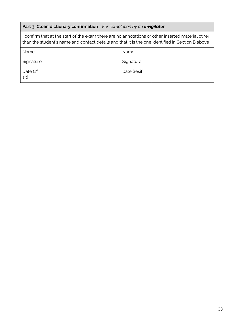# **Part 3: Clean dictionary confirmation** - *For completion by an invigilator*

| I confirm that at the start of the exam there are no annotations or other inserted material other<br>than the student's name and contact details and that it is the one identified in Section B above |  |              |  |
|-------------------------------------------------------------------------------------------------------------------------------------------------------------------------------------------------------|--|--------------|--|
| Name                                                                                                                                                                                                  |  | Name         |  |
| Signature                                                                                                                                                                                             |  | Signature    |  |
| Date $(1st$<br>sit)                                                                                                                                                                                   |  | Date (resit) |  |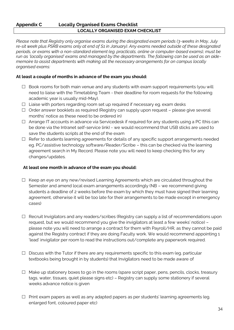## **Appendix C Locally Organised Exams Checklist LOCALLY ORGANISED EXAM CHECKLIST**

*Please note that Registry only organise exams during the designated exam periods (3-weeks in May, July re-sit week plus PSRB exams only at end of S1 in January). Any exams needed outside of these designated periods, or exams with a non-standard element (eg. practicals, online or computer-based exams), must be run as 'locally organised' exams and managed by the departments. The following can be used as an aidememoire to assist departments with making all the necessary arrangements for on campus locally organised exams:*

## **At least a couple of months in advance of the exam you should:**

- $\Box$  Book rooms for both main venue and any students with exam support requirements (you will need to liaise with the Timetabling Team - their deadline for room requests for the following academic year is usually mid-May).
- $\Box$  Liaise with porters regarding room set up required if necessary eg. exam desks
- $\Box$  Order answer booklets as required (Registry can supply upon request please give several months' notice as these need to be ordered in)
- $\Box$  Arrange IT accounts in advance via Servicedesk if required for any students using a PC (this can be done via the Intranet self-service link) - we would recommend that USB sticks are used to save the students scripts at the end of the exam
- $\Box$  Refer to students learning agreements for details of any specific support arrangements needed eg. PC/assistive technology software/Reader/Scribe – this can be checked via the learning agreement search in My Record. Please note you will need to keep checking this for any changes/updates.

## **At least one month in advance of the exam you should:**

- $\Box$  Keep an eye on any new/revised Learning Agreements which are circulated throughout the Semester and amend local exam arrangements accordingly (NB – we recommend giving students a deadline of 2 weeks before the exam by which they must have signed their learning agreement, otherwise it will be too late for their arrangements to be made except in emergency cases)
- $\Box$  Recruit Invigilators and any readers/scribes (Registry can supply a list of recommendations upon request, but we would recommend you give the invigilators at least a few weeks' notice) – please note you will need to arrange a contract for them with Payroll/HR, as they cannot be paid against the Registry contract if they are doing Faculty work. We would recommend appointing 1 'lead' invigilator per room to read the instructions out/complete any paperwork required.
- $\Box$  Discuss with the Tutor if there are any requirements specific to this exam (eg. particular textbooks being brought in by students) that Invigilators need to be made aware of
- $\Box$  Make up stationery boxes to go in the rooms (spare script paper, pens, pencils, clocks, treasury tags, water, tissues, quiet please signs etc) – Registry can supply some stationery if several weeks advance notice is given
- $\Box$  Print exam papers as well as any adapted papers as per students' learning agreements (eg. enlarged font, coloured paper etc)